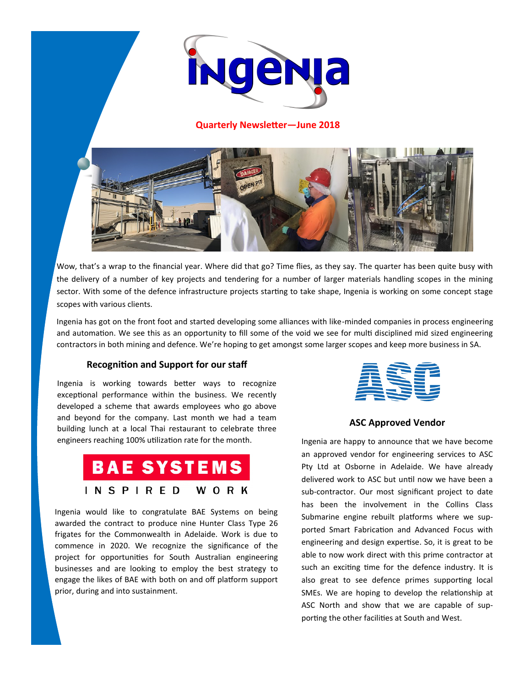

**Quarterly Newsletter—June 2018**



Wow, that's a wrap to the financial year. Where did that go? Time flies, as they say. The quarter has been quite busy with the delivery of a number of key projects and tendering for a number of larger materials handling scopes in the mining sector. With some of the defence infrastructure projects starting to take shape, Ingenia is working on some concept stage scopes with various clients.

Ingenia has got on the front foot and started developing some alliances with like-minded companies in process engineering and automation. We see this as an opportunity to fill some of the void we see for multi disciplined mid sized engineering contractors in both mining and defence. We're hoping to get amongst some larger scopes and keep more business in SA.

# **Recognition and Support for our staff**

Ingenia is working towards better ways to recognize exceptional performance within the business. We recently developed a scheme that awards employees who go above and beyond for the company. Last month we had a team building lunch at a local Thai restaurant to celebrate three engineers reaching 100% utilization rate for the month.



Ingenia would like to congratulate BAE Systems on being awarded the contract to produce nine Hunter Class Type 26 frigates for the Commonwealth in Adelaide. Work is due to commence in 2020. We recognize the significance of the project for opportunities for South Australian engineering businesses and are looking to employ the best strategy to engage the likes of BAE with both on and off platform support prior, during and into sustainment.



## **ASC Approved Vendor**

Ingenia are happy to announce that we have become an approved vendor for engineering services to ASC Pty Ltd at Osborne in Adelaide. We have already delivered work to ASC but until now we have been a sub-contractor. Our most significant project to date has been the involvement in the Collins Class Submarine engine rebuilt platforms where we supported Smart Fabrication and Advanced Focus with engineering and design expertise. So, it is great to be able to now work direct with this prime contractor at such an exciting time for the defence industry. It is also great to see defence primes supporting local SMEs. We are hoping to develop the relationship at ASC North and show that we are capable of supporting the other facilities at South and West.